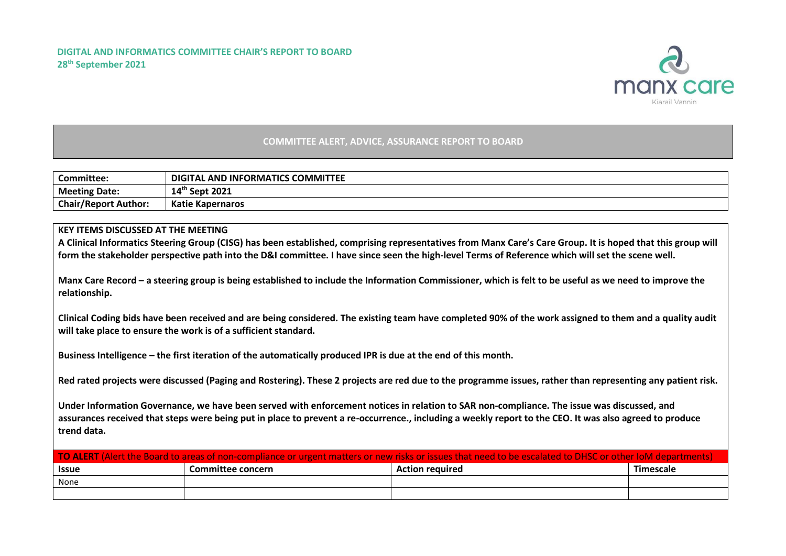

## **COMMITTEE ALERT, ADVICE, ASSURANCE REPORT TO BOARD**

| Committee:                  | <b>DIGITAL AND INFORMATICS COMMITTEE</b> |
|-----------------------------|------------------------------------------|
| <b>Meeting Date:</b>        | $14^{\text{th}}$ Sept 2021               |
| <b>Chair/Report Author:</b> | <b>Katie Kapernaros</b>                  |

## **KEY ITEMS DISCUSSED AT THE MEETING**

**A Clinical Informatics Steering Group (CISG) has been established, comprising representatives from Manx Care's Care Group. It is hoped that this group will form the stakeholder perspective path into the D&I committee. I have since seen the high-level Terms of Reference which will set the scene well.** 

**Manx Care Record – a steering group is being established to include the Information Commissioner, which is felt to be useful as we need to improve the relationship.** 

**Clinical Coding bids have been received and are being considered. The existing team have completed 90% of the work assigned to them and a quality audit will take place to ensure the work is of a sufficient standard.** 

**Business Intelligence – the first iteration of the automatically produced IPR is due at the end of this month.** 

**Red rated projects were discussed (Paging and Rostering). These 2 projects are red due to the programme issues, rather than representing any patient risk.**

**Under Information Governance, we have been served with enforcement notices in relation to SAR non-compliance. The issue was discussed, and assurances received that steps were being put in place to prevent a re-occurrence., including a weekly report to the CEO. It was also agreed to produce trend data.** 

| <b>TO ALERT</b> (Alert the Board to areas of non-compliance or urgent matters or new risks or issues that need to be escalated to DHSC or other IoM departments). |                   |                        |           |  |  |  |  |
|-------------------------------------------------------------------------------------------------------------------------------------------------------------------|-------------------|------------------------|-----------|--|--|--|--|
| <b>Issue</b>                                                                                                                                                      | Committee concern | <b>Action required</b> | Timescale |  |  |  |  |
| None                                                                                                                                                              |                   |                        |           |  |  |  |  |
|                                                                                                                                                                   |                   |                        |           |  |  |  |  |